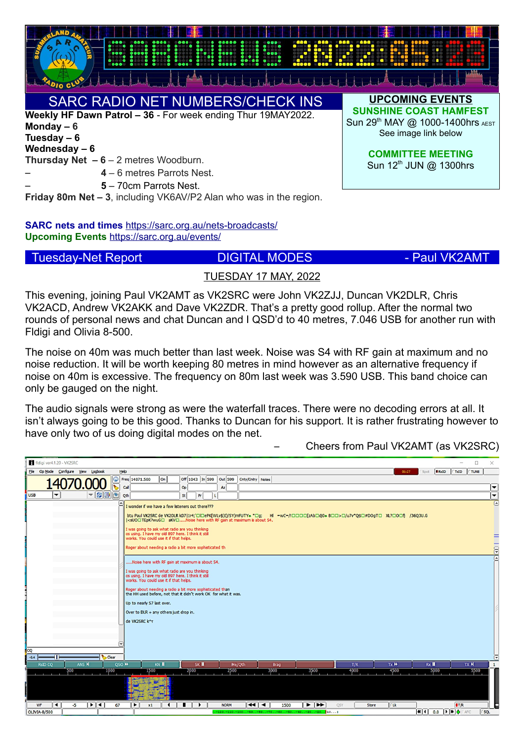

# SARC RADIO NET NUMBERS/CHECK INS

**Weekly HF Dawn Patrol – 36** - For week ending Thur 19MAY2022. **Monday – 6 Tuesday – 6 Wednesday – 6**

**Thursday Net – 6** – 2 metres Woodburn.

– **4** – 6 metres Parrots Nest.

– **5** – 70cm Parrots Nest.

**Friday 80m Net – 3**, including VK6AV/P2 Alan who was in the region.

**SARC nets and times** <https://sarc.org.au/nets-broadcasts/> **Upcoming Events** <https://sarc.org.au/events/>

Tuesday-Net Report **DIGITAL MODES - Paul VK2AMT** 

**UPCOMING EVENTS SUNSHINE COAST HAMFEST** Sun 29<sup>th</sup> MAY @ 1000-1400hrs AEST See image link below

> **COMMITTEE MEETING** Sun  $12^{\text{th}}$  JUN  $@$  1300hrs

# TUESDAY 17 MAY, 2022

This evening, joining Paul VK2AMT as VK2SRC were John VK2ZJJ, Duncan VK2DLR, Chris VK2ACD, Andrew VK2AKK and Dave VK2ZDR. That's a pretty good rollup. After the normal two rounds of personal news and chat Duncan and I QSD'd to 40 metres, 7.046 USB for another run with Fldigi and Olivia 8-500.

The noise on 40m was much better than last week. Noise was S4 with RF gain at maximum and no noise reduction. It will be worth keeping 80 metres in mind however as an alternative frequency if noise on 40m is excessive. The frequency on 80m last week was 3.590 USB. This band choice can only be gauged on the night.

The audio signals were strong as were the waterfall traces. There were no decoding errors at all. It isn't always going to be this good. Thanks to Duncan for his support. It is rather frustrating however to have only two of us doing digital modes on the net.

– Cheers from Paul VK2AMT (as VK2SRC)

| fldigi ver4.1.20 - VK2SRC                                                                                                                                                                                                                                                                                                                                                                                                                                                                                                      | $\Box$<br>$\times$<br>$\overline{\phantom{0}}$                                                                                                                                                                                                                                      |
|--------------------------------------------------------------------------------------------------------------------------------------------------------------------------------------------------------------------------------------------------------------------------------------------------------------------------------------------------------------------------------------------------------------------------------------------------------------------------------------------------------------------------------|-------------------------------------------------------------------------------------------------------------------------------------------------------------------------------------------------------------------------------------------------------------------------------------|
| File Op Mode Configure View Logbook<br>Help                                                                                                                                                                                                                                                                                                                                                                                                                                                                                    | <b>B</b> <sub>RxID</sub><br><b>TxID</b><br><b>TUNE</b><br>01:27<br>Spot                                                                                                                                                                                                             |
| $\bigcirc$ Freq 14071.500<br> on <br>Off 1043 In 599<br><b>Out 599</b><br>Cnty/Cntry Notes<br>$\triangledown$<br>Call<br>Op<br>Az<br>$\nabla$ 800<br>$\blacktriangledown$<br><b>USB</b><br>Qth<br>Pr<br><b>St</b>                                                                                                                                                                                                                                                                                                              | ▼<br>₹                                                                                                                                                                                                                                                                              |
| ⊡<br>I wonder if we have a few listeners out there???<br>btu Paul VK2SRC de VK2DLR kD7 1r4;'□I□ePK[WLv\$)I)/SY)mFUTY+ *□g; HI =wC=/!□□□□[zAb□dj0+ B□□>□/u7v*Q\$□#DOgT□ XL?□0□fj /36Q3U.G<br>  <suo□tepk?wug□ about="" akv□noise="" at="" gain="" here="" is="" maximum="" rf="" s4.<br="" with="">I was going to ask what radio are you thinking<br/>os using. I have my old 897 here. I think it still<br/>works. You could use it if that helps.<br/>Roger about needing a radio a bit more sophisticated th</suo□tepk?wug□> |                                                                                                                                                                                                                                                                                     |
| Noise here with RF gain at maximum is about S4.<br>I was going to ask what radio are you thinking<br>os using. I have my old 897 here. I think it still<br>works. You could use it if that helps.<br>Roger about needing a radio a bit more sophisticated than<br>the HH used before, not that it didn't work OK for what it was.<br>Up to nearly S7 last over.<br>Over to DLR + any others just drop in.<br>de VK2SRC k^r<br>I۷<br>cQ<br>Clear<br>$-0.4$                                                                      |                                                                                                                                                                                                                                                                                     |
| ANS N<br>SK<br>QSO <sup>N</sup><br><b>RsID CQ</b><br>KN II<br>Me/Qth<br><b>Brag</b>                                                                                                                                                                                                                                                                                                                                                                                                                                            | $Tx$ $N$<br>$\n  N\n$<br>T/R<br>Rx II                                                                                                                                                                                                                                               |
| 1500<br>2000<br>2500<br>3000<br>3500<br>500<br>1000                                                                                                                                                                                                                                                                                                                                                                                                                                                                            | 4000<br>4500<br>5000<br>5500                                                                                                                                                                                                                                                        |
| 刁<br>ামৰ<br>नवान<br>$\blacksquare$<br>$\blacktriangleright$ $\blacktriangleright$<br>WF<br>$-5$<br>67<br>$\blacktriangleright$<br><b>NORM</b><br>$\ddot{\phantom{1}}$<br>1500<br>x1                                                                                                                                                                                                                                                                                                                                            | <b>TLK</b><br><b>ITR</b><br><b>QSY</b><br><b>Store</b>                                                                                                                                                                                                                              |
| <b>OLIVIA-8/500</b><br>$-120. -110. -100. -90. -80. -70. -60. -50. -40. -40. -20. -110.$                                                                                                                                                                                                                                                                                                                                                                                                                                       | $\left  \frac{1}{2} \right $ (1) $\left  \frac{1}{2} \right $ ( ) $\left  \frac{1}{2} \right $ ( ) $\left  \frac{1}{2} \right $ ( ) $\left  \frac{1}{2} \right $ ( ) $\left  \frac{1}{2} \right $ ( ) $\left  \frac{1}{2} \right $ ( ) $\left  \frac{1}{2} \right $<br>$\Gamma$ SQL |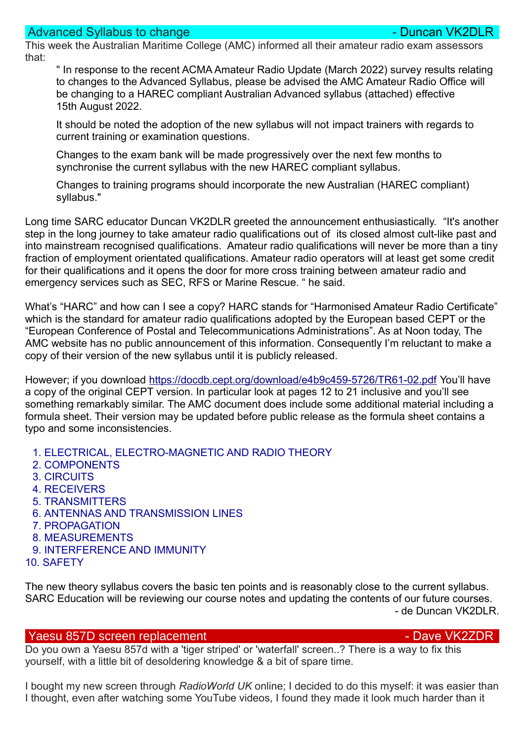## Advanced Syllabus to change - Duncan VK2DL

This week the Australian Maritime College (AMC) informed all their amateur radio exam assessors that:

" In response to the recent ACMA Amateur Radio Update (March 2022) survey results relating to changes to the Advanced Syllabus, please be advised the AMC Amateur Radio Office will be changing to a HAREC compliant Australian Advanced syllabus (attached) effective 15th August 2022.

It should be noted the adoption of the new syllabus will not impact trainers with regards to current training or examination questions.

Changes to the exam bank will be made progressively over the next few months to synchronise the current syllabus with the new HAREC compliant syllabus.

Changes to training programs should incorporate the new Australian (HAREC compliant) syllabus."

Long time SARC educator Duncan VK2DLR greeted the announcement enthusiastically. "It's another step in the long journey to take amateur radio qualifications out of its closed almost cult-like past and into mainstream recognised qualifications. Amateur radio qualifications will never be more than a tiny fraction of employment orientated qualifications. Amateur radio operators will at least get some credit for their qualifications and it opens the door for more cross training between amateur radio and emergency services such as SEC, RFS or Marine Rescue. " he said.

What's "HARC" and how can I see a copy? HARC stands for "Harmonised Amateur Radio Certificate" which is the standard for amateur radio qualifications adopted by the European based CEPT or the "European Conference of Postal and Telecommunications Administrations". As at Noon today, The AMC website has no public announcement of this information. Consequently I'm reluctant to make a copy of their version of the new syllabus until it is publicly released.

However; if you download <https://docdb.cept.org/download/e4b9c459-5726/TR61-02.pdf> You'll have a copy of the original CEPT version. In particular look at pages 12 to 21 inclusive and you'll see something remarkably similar. The AMC document does include some additional material including a formula sheet. Their version may be updated before public release as the formula sheet contains a typo and some inconsistencies.

- 1. ELECTRICAL, ELECTRO-MAGNETIC AND RADIO THEORY
- 2. COMPONENTS
- 3. CIRCUITS
- 4. RECEIVERS
- 5. TRANSMITTERS
- 6. ANTENNAS AND TRANSMISSION LINES
- 7. PROPAGATION
- 8. MEASUREMENTS
- 9. INTERFERENCE AND IMMUNITY
- 10. SAFETY

The new theory syllabus covers the basic ten points and is reasonably close to the current syllabus. SARC Education will be reviewing our course notes and updating the contents of our future courses. - de Duncan VK2DLR.

### Yaesu 857D screen replacement - Dave VK2ZDR

Do you own a Yaesu 857d with a 'tiger striped' or 'waterfall' screen..? There is a way to fix this yourself, with a little bit of desoldering knowledge & a bit of spare time.

I bought my new screen through *RadioWorld UK* online; I decided to do this myself: it was easier than I thought, even after watching some YouTube videos, I found they made it look much harder than it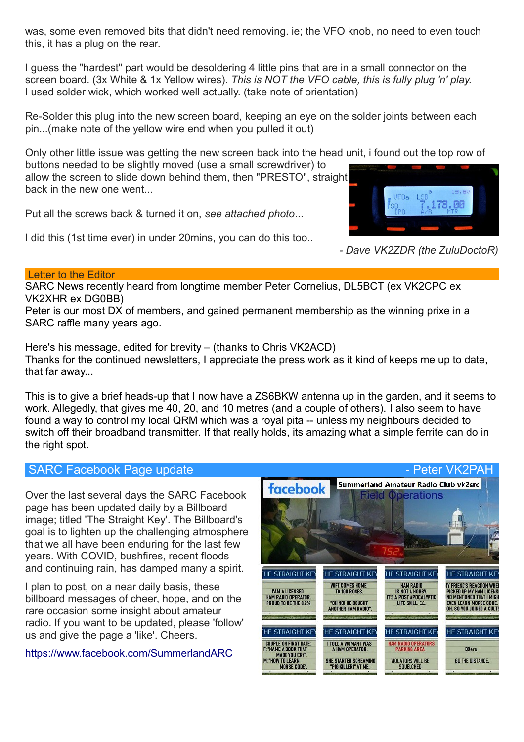was, some even removed bits that didn't need removing. ie; the VFO knob, no need to even touch this, it has a plug on the rear.

I guess the "hardest" part would be desoldering 4 little pins that are in a small connector on the screen board. (3x White & 1x Yellow wires). *This is NOT the VFO cable, this is fully plug 'n' play.* I used solder wick, which worked well actually. (take note of orientation)

Re-Solder this plug into the new screen board, keeping an eye on the solder joints between each pin...(make note of the yellow wire end when you pulled it out)

Only other little issue was getting the new screen back into the head unit, i found out the top row of buttons needed to be slightly moved (use a small screwdriver) to

allow the screen to slide down behind them, then "PRESTO", straight back in the new one went.

Put all the screws back & turned it on, *see attached photo*...





*- Dave VK2ZDR (the ZuluDoctoR)*

### Letter to the Editor

SARC News recently heard from longtime member Peter Cornelius, DL5BCT (ex VK2CPC ex VK2XHR ex DG0BB)

Peter is our most DX of members, and gained permanent membership as the winning prixe in a SARC raffle many years ago.

Here's his message, edited for brevity – (thanks to Chris VK2ACD) Thanks for the continued newsletters, I appreciate the press work as it kind of keeps me up to date, that far away...

This is to give a brief heads-up that I now have a ZS6BKW antenna up in the garden, and it seems to work. Allegedly, that gives me 40, 20, and 10 metres (and a couple of others). I also seem to have found a way to control my local QRM which was a royal pita -- unless my neighbours decided to switch off their broadband transmitter. If that really holds, its amazing what a simple ferrite can do in the right spot.

Over the last several days the SARC Facebook page has been updated daily by a Billboard image; titled 'The Straight Key'. The Billboard's goal is to lighten up the challenging atmosphere that we all have been enduring for the last few years. With COVID, bushfires, recent floods and continuing rain, has damped many a spirit.

I plan to post, on a near daily basis, these billboard messages of cheer, hope, and on the rare occasion some insight about amateur radio. If you want to be updated, please 'follow' us and give the page a 'like'. Cheers.

<https://www.facebook.com/SummerlandARC>